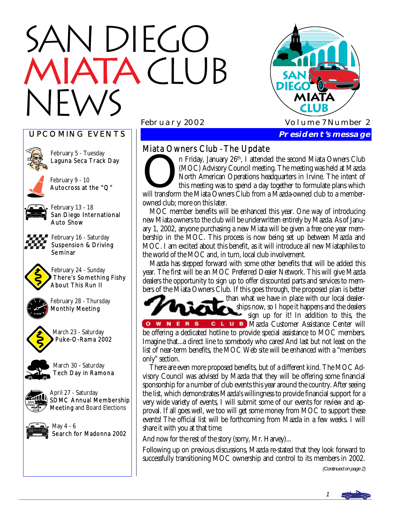# N DIEGO **ATA CLUB**



# UPCOMING EVENTS



February 5 - Tuesday Laguna Seca Track Day

February 9 - 10 Autocross at the "Q"



San Diego International

February 16 - Saturday Suspension & Driving Seminar



February 24 - Sunday There's Something Fishy About This Run II



February 28 - Thursday Monthly Meeting



March 23 - Saturday Puke-O-Rama 2002



March 30 - Saturday Tech Day in Ramona



April 27 - Saturday SDMC Annual Membership Meeting and Board Elections



May 4 - 6 Search for Madonna 2002

# Miata Owners Club - The Update

n Friday, January 26<sup>th</sup>, I attended the second Miata Owners Club (MOC) Advisory Council meeting. The meeting was held at Mazda North American Operations headquarters in Irvine. The intent of this meeting was to spend a day together to formulate plans which will transform the Miata Owners Club from a Mazda-owned club to a memberowned club; more on this later.

 MOC member benefits will be enhanced this year. One way of introducing new Miata owners to the club will be underwritten entirely by Mazda. As of January 1, 2002, anyone purchasing a new Miata will be given a free one year membership in the MOC. This process is now being set up between Mazda and MOC. I am excited about this benefit, as it will introduce all new Miataphiles to the world of the MOC and, in turn, local club involvement.

 Mazda has stepped forward with some other benefits that will be added this year. The first will be an MOC Preferred Dealer Network. This will give Mazda dealers the opportunity to sign up to offer discounted parts and services to members of the Miata Owners Club. If this goes through, the proposed plan is better



than what we have in place with our local dealerships now, so I hope it happens and the dealers sign up for it! In addition to this, the C L U B Mazda Customer Assistance Center will

**NERS**  $O$  W be offering a dedicated hotline to provide special assistance to MOC members. Imagine that...a direct line to somebody who cares! And last but not least on the list of near-term benefits, the MOC Web site will be enhanced with a "members only" section.

 There are even more proposed benefits, but of a different kind. The MOC Advisory Council was advised by Mazda that they will be offering some financial sponsorship for a number of club events this year around the country. After seeing the list, which demonstrates Mazda's willingness to provide financial support for a very wide variety of events, I will submit some of our events for review and approval. If all goes well, we too will get some money from MOC to support these events! The official list will be forthcoming from Mazda in a few weeks. I will share it with you at that time.

And now for the rest of the story (sorry, Mr. Harvey)...

Following up on previous discussions, Mazda re-stated that they look forward to successfully transitioning MOC ownership and control to its members in 2002.

(Continued on page 2)

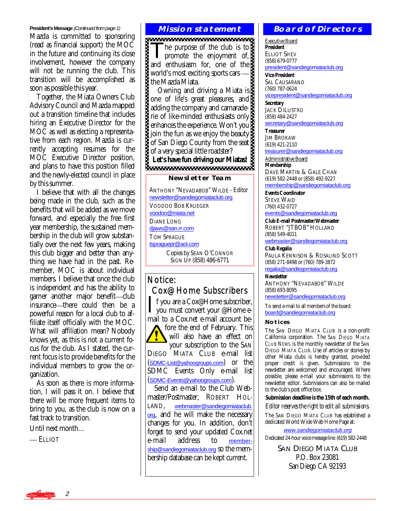#### **President's Message (Continued from page 1)** MISSION STATEMENT

Mazda is committed to sponsoring (read as financial support) the MOC in the future and continuing its close involvement, however the company will not be running the club. This transition will be accomplished as soon as possible this year.

 Together, the Miata Owners Club Advisory Council and Mazda mapped out a transition timeline that includes hiring an Executive Director for the MOC as well as electing a representative from each region. Mazda is currently accepting resumes for the MOC Executive Director position, and plans to have this position filled and the newly-elected council in place by this summer.

 I believe that with all the changes being made in the club, such as the benefits that will be added as we move forward, and especially the free first year membership, the sustained membership in the club will grow substantially over the next few years, making this club bigger and better than anything we have had in the past. Remember, MOC is about individual members. I believe that once the club is independent and has the ability to garner another major benefit—club insurance—there could then be a powerful reason for a local club to affiliate itself officially with the MOC. What will affiliation mean? Nobody knows yet, as this is not a current focus for the club. As I stated, the current focus is to provide benefits for the individual members to grow the organization.

 As soon as there is more information, I will pass it on. I believe that there will be more frequent items to bring to you, as the club is now on a fast track to transition.

Until next month…

— ELLIOT

The purpose of the club is to<br>promote the enjoyment of, and enthusiasm for, one of the world's most exciting sports cars the Mazda Miata.

 Owning and driving a Miata is one of life's great pleasures, and adding the company and camaraderie of like-minded enthusiasts only enhances the experience. Won't you join the fun as we enjoy the beauty of San Diego County from the seat of a very special little roadster? **Let's have fun driving our Miatas!** 

#### **Newsletter Team**

ANTHONY "NEVADABOB" WILDE - Editor [newsletter@sandiegomiataclub.org](mailto:newsletter@sandiegomiataclub.org) VOODOO BOB KRUEGER [voodoo@miata.net](mailto:voodoo@miata.net) DIANE LONG [djaws@san.rr.com](mailto:djaws@san.rr.com) TOM SPRAGUE [tspraguepr@aol.com](mailto:tspraguepr@aol.com) Copies by SEAN O'CONNOR SIGN UP (858) 486-6771

# Notice: Cox@Home Subscribers

If you are a Cox@Home subscriber,<br>you must convert your @Home e-<br>mail to a Covent a mail assount be mail to a Cox.net e-mail account before the end of February. This

will also have an effect on your subscription to the SAN DIEGO MIATA CLUB e-mail list ([SDMC-List@yahoogroups.com](mailto:SDMC-List@yahoogroups.com)) or the SDMC Events Only e-mail list ([SDMC-Events@yahoogroups.com](mailto:SDMC-Events@yahoogroups.com)).

 Send an e-mail to the Club Webmaster/Postmaster, ROBERT HOL-LAND, [webmaster@sandiegomiataclub.](mailto:webmaster@sandiegomiataclub.org) [org](mailto:webmaster@sandiegomiataclub.org), and he will make the necessary changes for you. In addition, don't forget to send your updated Cox.net<br>e-mail address to memberto [member](mailto:membership@sandiegomiataclub.org)[ship@sandiegomiataclub.org](mailto:membership@sandiegomiataclub.org) so the membership database can be kept current.

#### **Board of Directors**

Executive Board **President**  ELLIOT SHEV (858) 679-0777 [president@sandiegomiataclub.org](mailto:president@sandiegomiataclub.org)

**Vice President**  SAL CAUSARANO (760) 787-0624 [vicepresident@sandiegomiataclub.org](mailto:vicepresident@sandiegomiataclub.org)

**Secretary**  JACK DILUSTRO (858) 484-2427 [secretary@sandiegomiataclub.org](mailto:secretary@sandiegomiataclub.org)

**Treasurer**  JIM BROKAW (619) 421-2110 [treasurer@sandiegomiataclub.org](mailto:treasurer@sandiegomiataclub.org)

Administrative Board **Membership**  DAVE MARTIN & GALE CHAN (619) 582-2448 or (858) 492-9227

[membership@sandiegomiataclub.org](mailto:membership@sandiegomiataclub.org) **Events Coordinator** 

STEVE WAID (760) 432-0727

#### [events@sandiegomiataclub.org](mailto:events@sandiegomiataclub.org)

**Club E-mail Postmaster/Webmaster**  ROBERT "JTBOB" HOLLAND (858) 549-4011

[webmaster@sandiegomiataclub.org](mailto:webmaster@sandiegomiataclub.org)

**Club Regalia**  PAULA KENNISON & ROSALIND SCOTT (858) 271-8498 or (760) 789-3872 [regalia@sandiegomiataclub.org](mailto:regalia@sandiegomiataclub.org)

**Newsletter** 

ANTHONY "NEVADABOB" WILDE (858) 693-8095 [newsletter@sandiegomiataclub.org](mailto:newsletter@sandiegomiataclub.org)

To send e-mail to all members of the board:

[board@sandiegomiataclub.org](mailto:board@sandiegomiataclub.org)

#### **Notices**

The SAN DIEGO MIATA CLUB is a non-profit California corporation. The *SAN DIEGO MIATA CLUB NEWS* is the monthly newsletter of the SAN DIEGO MIATA CLUB. Use of articles or stories by other Miata clubs is hereby granted, provided proper credit is given. Submissions to the newsletter are welcomed and encouraged. Where possible, please e-mail your submissions to the newsletter editor. Submissions can also be mailed to the club's post office box.

**Submission deadline is the 15th of each month.** 

*Editor reserves the right to edit all submissions.* The SAN DIEGO MIATA CLUB has established a dedicated World Wide Web Home Page at:

[www.sandiegomiataclub.org](http://www.sandiegomiataclub.org) Dedicated 24-hour voice message line: (619) 582-2448

> SAN DIEGO MIATA CLUB P.O. Box 23081 San Diego CA 92193

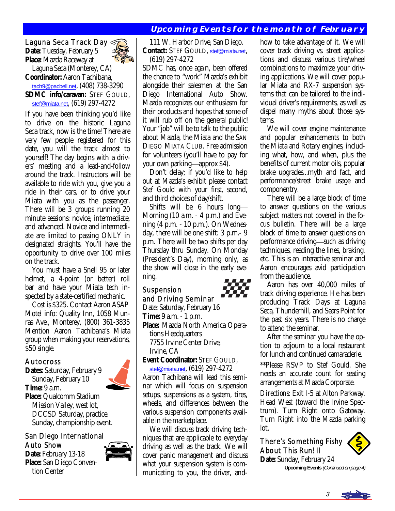# **Upcoming Events for the month of February**

#### Laguna Seca Track Day **Date:** Tuesday, February 5

**Place:** Mazda Raceway at

 Laguna Seca (Monterey, CA) **Coordinator:** Aaron Tachibana, [tach9@pacbell.net](mailto:tach9@pacbell.net), (408) 738-3290 **SDMC info/caravan:** STEF GOULD, [stef@miata.net](mailto:stef@miata.net), (619) 297-4272

If you have been thinking you'd like to drive on the historic Laguna Seca track, now is the time! There are very few people registered for this date, you will the track almost to yourself! The day begins with a drivers' meeting and a lead-and-follow around the track. Instructors will be available to ride with you, give you a ride in their cars, or to drive your Miata with you as the passenger. There will be 3 groups running 20 minute sessions: novice, intermediate, and advanced. Novice and intermediate are limited to passing ONLY in designated straights. You'll have the opportunity to drive over 100 miles on the track.

 You must have a Snell 95 or later helmet, a 4-point (or better) roll bar and have your Miata tech inspected by a state-certified mechanic.

 Cost is \$325. Contact Aaron ASAP Motel info: Quality Inn, 1058 Munras Ave., Monterey, (800) 361-3835 Mention Aaron Tachibana's Miata group when making your reservations, \$50 single.

#### Autocross

**Dates:** Saturday, February 9 Sunday, February 10 **Time:** 9 a.m. **Place:** Qualcomm Stadium Mission Valley, west lot, DCCSD Saturday, practice. Sunday, championship event.

#### San Diego International Auto Show

**Date:** February 13-18 **Place:** San Diego Conven tion Center



 111 W. Harbor Drive, San Diego. **Contact:** STEF GOULD, [stef@miata.net](mailto:stef@miata.net), (619) 297-4272

SDMC has, once again, been offered the chance to "work" Mazda's exhibit alongside their salesmen at the San Diego International Auto Show. Mazda recognizes our enthusiasm for their products and hopes that some of it will rub off on the general public! Your "job" will be to talk to the public about Mazda, the Miata and the SAN DIEGO MIATA CLUB. *Free* admission for volunteers (you'll have to pay for your own parking—approx \$4).

 Don't delay; if you'd like to help out at Mazda's exhibit please contact Stef Gould with your first, second, and third choices of day/shift.

 Shifts will be 6 hours long Morning (10 a.m. - 4 p.m.) and Evening (4 p.m. - 10 p.m.). On Wednesday, there will be one shift: 3 p.m.- 9 p.m. There will be two shifts per day Thursday thru Sunday. On Monday (President's Day), morning only, as the show will close in the early evening.

# Suspension

and Driving Seminar

Date: Saturday, February 16

**Time:** 9 a.m. - 1 p.m.

**Place:** Mazda North America Opera tions Headquarters 7755 Irvine Center Drive, Irvine, CA

**Event Coordinator:** STEF GOULD,

[stef@miata.net](mailto:stef@miata.net), (619) 297-4272 Aaron Tachibana will lead this seminar which will focus on suspension setups, suspensions as a system, tires, wheels, and differences between the various suspension components available in the marketplace.

 We will discuss track driving techniques that are applicable to everyday driving as well as the track. We will cover panic management and discuss what your suspension system is communicating to you, the driver, andhow to take advantage of it. We will cover track driving vs. street applications and discuss various tire/wheel combinations to maximize your driving applications. We will cover popular Miata and RX-7 suspension systems that can be tailored to the individual driver's requirements, as well as dispel many myths about those systems.

 We will cover engine maintenance and popular enhancements to both the Miata and Rotary engines, including what, how, and when, plus the benefits of current motor oils, popular brake upgrades...myth and fact, and performance/street brake usage and componentry.

 There will be a large block of time to answer questions on the various subject matters not covered in the focus bulletin. There will be a large block of time to answer questions on performance driving—such as driving techniques, reading the lines, braking, etc. This is an interactive seminar and Aaron encourages avid participation from the audience.

 Aaron has over 40,000 miles of track driving experience. He has been producing Track Days at Laguna Seca, Thunderhill, and Sears Point for the past six years. There is no charge to attend the seminar.

 After the seminar you have the option to adjourn to a local restaurant for lunch and continued camaraderie.

\*\*Please RSVP to Stef Gould. She needs an accurate count for seating arrangements at Mazda Corporate.

*Directions:* Exit I-5 at Alton Parkway. Head West (toward the Irvine Spectrum). Turn Right onto Gateway. Turn Right into the Mazda parking lot.

There's Something Fishy About This Run! II

**Date:** Sunday, February 24 **Upcoming Events** (Continued on page 4)





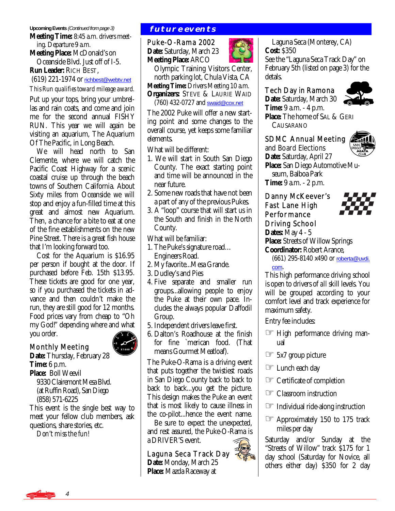#### **Upcoming Events** (Continued from page 3)

**Meeting Time:** 8:45 a.m. drivers meet ing. Departure 9 a.m.

**Meeting Place:** McDonald's on Oceanside Blvd. Just off of I-5.

**Run Leader:** RICH BEST,

(619) 221-1974 or [richbest@webtv.net](mailto:richbest@webtv.net)

*This Run qualifies toward mileage award.* 

Put up your tops, bring your umbrellas and rain coats, and come and join me for the second annual FISHY RUN. This year we will again be visiting an aquarium, The Aquarium Of The Pacific, in Long Beach.

 We will head north to San Clemente, where we will catch the Pacific Coast Highway for a scenic coastal cruise up through the beach towns of Southern California. About Sixty miles from Oceanside we will stop and enjoy a fun-filled time at this great and almost new Aquarium. Then, a chance for a bite to eat at one of the fine establishments on the new Pine Street. There is a great fish house that I'm looking forward too.

 Cost for the Aquarium is \$16.95 per person if bought at the door. If purchased before Feb. 15th \$13.95. These tickets are good for one year, so if you purchased the tickets in advance and then couldn't make the run, they are still good for 12 months. Food prices vary from cheap to "Oh my God!" depending where and what you order.



Monthly Meeting **Date:** Thursday, February 28

**Time:** 6 p.m. **Place:** Boll Weevil 9330 Clairemont Mesa Blvd. (at Ruffin Road), San Diego (858) 571-6225

This event is the single best way to meet your fellow club members, ask questions, share stories, etc. *Don't miss the fun!* 

## **future events**

Puke-O-Rama 2002 **Date:** Saturday, March 23 **Meeting Place:** ARCO



 Olympic Training Visitors Center, north parking lot, Chula Vista, CA **Meeting Time:** Drivers Meeting 10 a.m. **Organizers:** STEVE & LAURIE WAID (760) 432-0727 and [swaid@cox.net](mailto:swaid@cox.net)

The 2002 Puke will offer a new starting point and some changes to the overall course, yet keeps some familiar elements.

What will be different:

- 1. We will start in South San Diego County. The exact starting point and time will be announced in the near future.
- 2. Some new roads that have not been a part of any of the previous Pukes.
- 3. A "loop" course that will start us in the South and finish in the North County.

What will be familiar:

- 1. The Puke's signature road… Engineers Road.
- 2. My favorite...Mesa Grande.
- 3. Dudley's and Pies
- 4. Five separate and smaller run groups...allowing people to enjoy the Puke at their own pace. In cludes the always popular Daffodil Group.
- 5. Independent drivers leave first.
- 6. Dalton's Roadhouse at the finish for fine `merican food. (That means Gourmet Meatloaf).

The Puke-O-Rama is a driving event that puts together the twistiest roads in San Diego County back to back to back to back...you get the picture. This design makes the Puke an event that is most likely to cause illness in the co-pilot...hence the event name.

 Be sure to expect the unexpected, and rest assured, the Puke-O-Rama is a DRIVER'S event.  $\ddot{\phantom{0}}$ 

Laguna Seca Track Day **Date:** Monday, March 25 **Place:** Mazda Raceway at

 Laguna Seca (Monterey, CA) **Cost:** \$350 See the "Laguna Seca Track Day" on February 5th (listed on page 3) for the detals. Ì

#### Tech Day in Ramona

**Date:** Saturday, March 30

**Time:** 9 a.m. - 4 p.m. **Place:** The home of SAL & GERI CAUSARANO

## SDMC Annual Meeting



and Board Elections **Date:** Saturday, April 27 **Place:** San Diego Automotive Mu seum, Balboa Park **Time:** 9 a.m. - 2 p.m.

#### Danny McKeever's Fast Lane High Performance Driving School **Dates:** May 4 - 5



**Place:** Streets of Willow Springs **Coordinator:** Robert Arance,

 (661) 295-8140 x490 or [roberta@uvdi.](mailto:roberta@uvdi.com) [com](mailto:roberta@uvdi.com).

This high performance driving school is open to drivers of *all* skill levels. You will be grouped according to your comfort level and track experience for maximum safety.

Entry fee includes:

- ☞ High performance driving manual
- ☞ 5x7 group picture
- ☞ Lunch each day
- ☞ Certificate of completion
- ☞ Classroom instruction
- ☞ Individual ride-along instruction
- ☞ Approximately 150 to 175 track miles per day

Saturday and/or Sunday at the "Streets of Willow" track \$175 for 1 day school (Saturday for Novice, all others either day) \$350 for 2 day



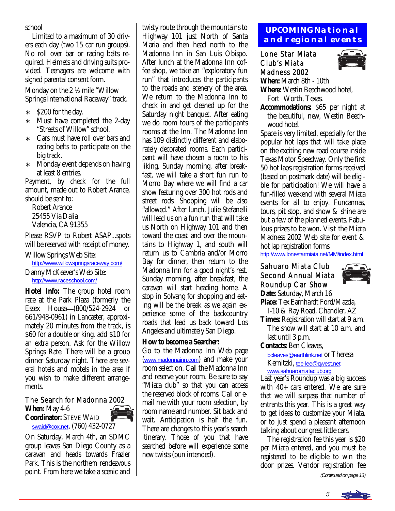school

 Limited to a maximum of 30 drivers each day (two 15 car run groups). No roll over bar or racing belts required. Helmets and driving suits provided. Teenagers are welcome with signed parental consent form.

Monday on the 2 ½ mile "Willow Springs International Raceway" track.

- ∗ \$200 for the day.
- ∗ Must have completed the 2-day "Streets of Willow" school.
- Cars must have roll over bars and racing belts to participate on the big track.
- ∗ Monday event depends on having at least 8 entries.

Payment, by check for the full amount, made out to Robert Arance, should be sent to:

 Robert Arance 25455 Via Dalia Valencia, CA 91355

Please RSVP to Robert ASAP...spots will be reserved with receipt of money.

Willow Springs Web Site: [http://www.willowspringsraceway.com/](http://www.willowspringsraceway.com) Danny McKeever's Web Site:

[http://www.raceschool.com/](http://www.raceschool.com)

**Hotel Info:** The group hotel room rate at the Park Plaza (formerly the Essex House (800/524-2924 or 661/948-0961) in Lancaster, approximately 20 minutes from the track, is \$60 for a double or king, add \$10 for an extra person. Ask for the Willow Springs Rate. There will be a group dinner Saturday night. There are several hotels and motels in the area if you wish to make different arrangements.

## The Search for Madonna 2002

**When:** May 4-6 **Coordinator:** STEVE WAID [swaid@cox.net](mailto:swaid@cox.net), (760) 432-0727

On Saturday, March 4th, an SDMC group leaves San Diego County as a caravan and heads towards Frazier Park. This is the northern rendezvous point. From here we take a scenic and twisty route through the mountains to Highway 101 just North of Santa Maria and then head north to the Madonna Inn in San Luis Obispo. After lunch at the Madonna Inn coffee shop, we take an "exploratory fun run" that introduces the participants to the roads and scenery of the area. We return to the Madonna Inn to check in and get cleaned up for the Saturday night banquet. After eating we do room tours of the participants rooms at the Inn. The Madonna Inn has 109 distinctly different and elaborately decorated rooms. Each participant will have chosen a room to his liking. Sunday morning, after breakfast, we will take a short fun run to Morro Bay where we will find a car show featuring over 300 hot rods and street rods. Shopping will be also "allowed." After lunch, Julie Stefanelli will lead us on a fun run that will take us North on Highway 101 and then toward the coast and over the mountains to Highway 1, and south will return us to Cambria and/or Morro Bay for dinner, then return to the Madonna Inn for a good night's rest. Sunday morning, after breakfast, the caravan will start heading home. A stop in Solvang for shopping and eating will be the break as we again experience some of the backcountry roads that lead us back toward Los Angeles and ultimately San Diego.

# **How to become a Searcher:**

Go to the Madonna Inn Web page ([www.madonnainn.com](http://www.madonnainn.com)) and make your room selection. Call the Madonna Inn and reserve your room. Be sure to say "Miata club" so that you can access the reserved block of rooms. Call or email me with your room selection, by room name and number. Sit back and wait. Anticipation is half the fun. There are changes to this year's search itinerary. Those of you that have searched before will experience some new twists (pun intended).

# **UPCOMING National and regional events**

Lone Star Miata Club's Miata Madness 2002 **When:** March 8th - 10th



**Where:** Westin Beachwood hotel, Fort Worth, Texas.

**Accommodations:** \$65 per night at the beautiful, new, Westin Beech wood hotel.

Space is very limited, especially for the popular hot laps that will take place on the exciting new road course inside Texas Motor Speedway. Only the first 50 hot laps registration forms received (based on postmark date) will be eligible for participation! We will have a fun-filled weekend with several Miata events for all to enjoy. Funcannas, tours, pit stop, and show & shine are but a few of the planned events. Fabulous prizes to be won. Visit the Miata Madness 2002 Web site for event & hot lap registration forms.

<http://www.lonestarmiata.net/MM/index.html>

#### Sahuaro Miata Club Second Annual Miata Roundup Car Show **Date:** Saturday, March 16



- **Place:** Tex Earnhardt Ford/Mazda, I-10 & Ray Road, Chandler, AZ
- **Times:** Registration will start at 9 a.m. The show will start at 10 a.m. and last until 3 p.m.

**Contacts:** Ben Cleaves,

 [bcleaves@earthlink.net](mailto:bcleaves@earthlink.net) or Theresa Kernitzki, [tee-lee@qwest.net](mailto:tee-lee@qwest.net) [www.sahuaromiataclub.org](http://www.sahuaromiataclub.org)

Last year's Roundup was a big success with 40+ cars entered. We are sure that we will surpass that number of entrants this year. This is a great way to get ideas to customize your Miata, or to just spend a pleasant afternoon talking about our great little cars.

 The registration fee this year is \$20 per Miata entered, and you must be registered to be eligible to win the door prizes. Vendor registration fee

(Continued on page 13)

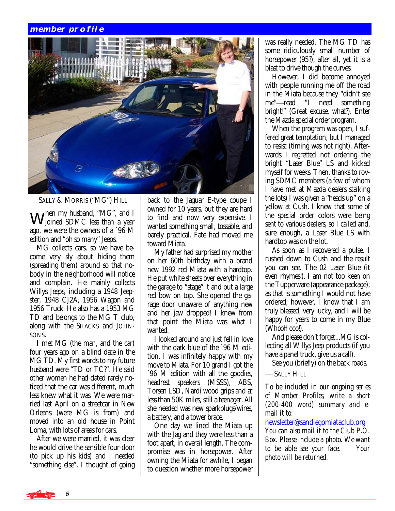#### **member profile**



SALLY & MORRIS ("MG") HILL

When my husband, "MG", and I Joined SDMC less than a year ago, we were the owners of a `96 M edition and "oh so many" Jeeps.

 MG collects cars, so we have become very sly about hiding them (spreading them) around so that nobody in the neighborhood will notice and complain. He mainly collects Willys Jeeps, including a 1948 Jeepster, 1948 CJ2A, 1956 Wagon and 1956 Truck. He also has a 1953 MG TD and belongs to the MG T club, along with the SHACKS and JOHN-SONS.

 I met MG (the man, and the car) four years ago on a blind date in the MG TD. My first words to my future husband were "TD or TC?". He said other women he had dated rarely noticed that the car was different, much less knew what it was. We were married last April on a streetcar in New Orleans (were MG is from) and moved into an old house in Point Loma, with lots of areas for cars.

 After we were married, it was clear he would drive the sensible four-door (to pick up his kids) and I needed "something else". I thought of going back to the Jaguar E-type coupe I owned for 10 years, but they are hard to find and now very expensive. I wanted something small, tossable, and barely practical. Fate had moved me toward Miata.

 My father had surprised my mother on her 60th birthday with a brand new 1992 red Miata with a hardtop. He put white sheets over everything in the garage to "stage" it and put a large red bow on top. She opened the garage door unaware of anything new and her jaw dropped! I knew from that point the Miata was what I wanted.

 I looked around and just fell in love with the dark blue of the `96 M edition. I was infinitely happy with my move to Miata. For 10 grand I got the `96 M edition with all the goodies, headrest speakers (MSSS), ABS, Torsen LSD, Nardi wood grips and at less than 50K miles, still a teenager. All she needed was new sparkplugs/wires, a battery, and a tower brace.

 One day we lined the Miata up with the Jag and they were less than a foot apart, in overall length. The compromise was in horsepower. After owning the Miata for awhile, I began to question whether more horsepower was really needed. The MG TD has some ridiculously small number of horsepower (95?), after all, yet it is a blast to drive though the curves.

 However, I did become annoyed with people running me off the road in the Miata because they "didn't see me"—read "I need something bright!" (Great excuse, what?). Enter the Mazda special order program.

 When the program was open, I suffered great temptation, but I managed to resist (timing was not right). Afterwards I regretted not ordering the bright "Laser Blue" LS and kicked myself for weeks. Then, thanks to roving SDMC members (a few of whom I have met at Mazda dealers stalking the lots) I was given a "heads up" on a yellow at Cush. I knew that some of the special order colors were being sent to various dealers, so I called and, sure enough, a Laser Blue LS with hardtop was on the lot.

 As soon as I recovered a pulse, I rushed down to Cush and the result you can see. The 02 Laser Blue (it even rhymes!). I am not too keen on the Tupperware (appearance package), as that is something I would not have ordered; however, I know that I am truly blessed, very lucky, and I will be happy for years to come in my Blue (*WhooHooo!*).

 And please don't forget...MG is collecting all Willys Jeep products (if you have a panel truck, give us a call).

See you (briefly) on the back roads.

— SALLY HILL

*To be included in our ongoing series of Member Profiles, write a short (200-400 word) summary and email it to:* 

[newsletter@sandiegomiataclub.org](mailto:newsletter@sandiegomiataclub.org)

*You can also mail it to the Club P.O. Box. Please include a photo. We want to be able see your face. Your photo will be returned.*

6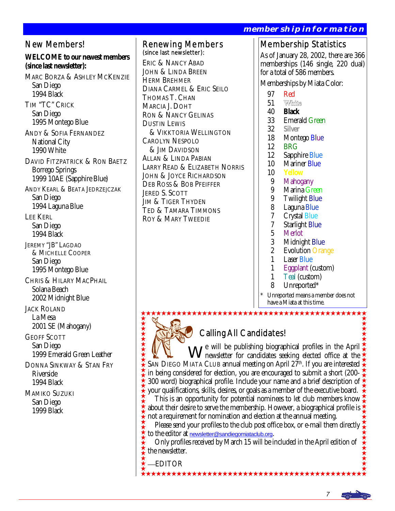Membership Statistics As of January 28, 2002, there are 366 memberships (146 single, 220 dual) for a total of 586 members. Memberships by Miata Color: 97 Red<br>51 White 51<br>40 40 **Black membership information**  Renewing Members (since last newsletter): ERIC & NANCY ABAD JOHN & LINDA BREEN HERM BREHMER DIANA CARMEL & ERIC SEILO THOMAS T. CHAN MARCIA J. DOHT RON & NANCY GELINAS

- 33 Emerald Green<br>32 Silver
	- 32 **Silver**
- 18 Montego Blue<br>12 BRG
- 12 BRG<br>12 Sappl
- Sapphire Blue
- 10 Mariner Blue
- 10 **Yellow**
- 9 Mahogany<br>9 Marina Gr
- 9 Marina Green<br>9 Twilight Blue
- 9 Twilight Blue<br>8 Laguna Blue
- 8 Laguna Blue<br>7 Crystal Blue
- 7 Crystal Blue<br>7 Starlight Blu
- 7 Starlight Blue
- 5 Merlot<br>3 Midnig
- 3 Midnight Blue<br>2 Evolution Oran
- 2 Evolution Orange<br>1 Laser Blue
- 1 Laser Blue<br>1 Foonlant (
- 1 Eggplant (custom)<br>1 Teal (custom)
- 1 Teal (custom)<br>8 Unreported\*
- Unreported\*

\*\*\*\*\*\*\*\*\*\*\*\*\*\*\*\*\*\*\*\*\*\*\*\*

Unreported means a member does not have a Miata at this time.

# Calling All Candidates!

W<sup>e will</sup> be publishing biographical profiles in the April newsletter for candidates seeking elected office at the SAN DIEGO MIATA CLUB annual meeting on April 27<sup>th</sup>. If you are interested in being considered for election, you are encouraged to submit a short (200- 300 word) biographical profile. Include your name and a brief description of  $\frac{1}{2}$ your qualifications, skills, desires, or goals as a member of the executive board.

 This is an opportunity for potential nominees to let club members know about their desire to serve the membership. However, a biographical profile is  $\frac{1}{2}$ not a requirement for nomination and election at the annual meeting.

 Please send your profiles to the club post office box, or e-mail them directly to the editor at [newsletter@sandiegomiataclub.org](mailto:newsletter@sandiegomiataclub.org).

 Only profiles received by March 15 will be included in the April edition of the newsletter.

EDITOR

\*\*\*\*\*\*\*\*\*\*\*

DUSTIN LEWIS

JERED S. SCOTT JIM & TIGER THYDEN TED & TAMARA TIMMONS ROY & MARY TWEEDIE

CAROLYN NESPOLO & JIM DAVIDSON ALLAN & LINDA PABIAN

& VIKKTORIA WELLINGTON

LARRY READ & ELIZABETH NORRIS JOHN & JOYCE RICHARDSON DEB ROSS & BOB PFEIFFER

TIM "TC" CRICK San Diego 1995 Montego Blue ANDY & SOFIA FERNANDEZ National City 1990 White DAVID FITZPATRICK & RON BAETZ

**WELCOME to our newest members** 

MARC BORZA & ASHLEY MCKENZIE

New Members!

**(since last newsletter):** 

 San Diego 1994 Black

 Borrego Springs 1999 10AE (Sapphire Blue)

ANDY KEARL & BEATA JEDRZEJCZAK San Diego 1994 Laguna Blue

LEE KERL San Diego 1994 Black

JEREMY "JB" LAGDAO & MICHELLE COOPER San Diego 1995 Montego Blue

CHRIS & HILARY MACPHAIL Solana Beach 2002 Midnight Blue

JACK ROLAND La Mesa 2001 SE (Mahogany)

GEOFF SCOTT San Diego 1999 Emerald Green Leather

DONNA SINKWAY & STAN FRY Riverside 1994 Black

MAMIKO SUZUKI San Diego 1999 Black

7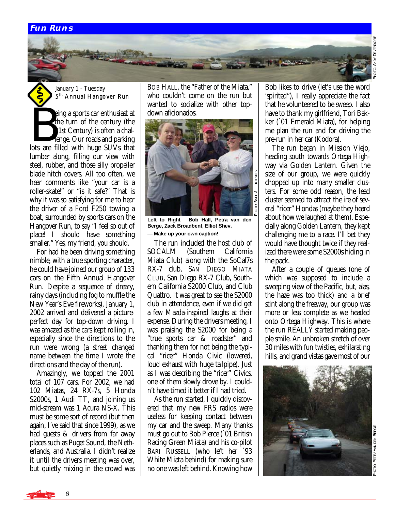#### **Fun Runs**



요<br>이 -ANDY DEVENDO ANDY DEVENDORF

January 1 - Tuesday 5th Annual Hangover Run

**B** eing a sports car enthusiast at the turn of the century (the 21st Century) is often a challenge. Our roads and parking lots are filled with huge SUVs that lumber along, filling our view with steel, rubber, and those silly propeller blade hitch covers. All too often, we hear comments like "your car is a roller-skate!" or "is it safe?" That is why it was so satisfying for me to hear the driver of a Ford F250 towing a boat, surrounded by sports cars on the Hangover Run, to say "I feel so out of place! I should have something smaller." Yes, my friend, you should.

 For had he been driving something nimble, with a true sporting character, he could have joined our group of 133 cars on the Fifth Annual Hangover Run. Despite a sequence of dreary, rainy days (including fog to muffle the New Year's Eve fireworks), January 1, 2002 arrived and delivered a pictureperfect day for top-down driving. I was amazed as the cars kept rolling in, especially since the directions to the run were wrong (a street changed name between the time I wrote the directions and the day of the run).

 Amazingly, we topped the 2001 total of 107 cars. For 2002, we had 102 Miatas, 24 RX-7s, 5 Honda S2000s, 1 Audi TT, and joining us mid-stream was 1 Acura NS-X. This must be some sort of record (but then again, I've said that since 1999), as we had guests & drivers from far away places such as Puget Sound, the Netherlands, and Australia. I didn't realize it until the drivers meeting was over, but quietly mixing in the crowd was

8

BOB HALL, the "Father of the Miata," who couldn't come on the run but wanted to socialize with other topdown aficionados.



**Left to Right Bob Hall, Petra van den**  -**Berge, Zack Broadbent, Elliot Shev. Make up your own caption!** 

The run included the host club of<br>CALM (Southern California SOCALM (Southern Miata Club) along with the SoCal7s RX-7 club, SAN DIEGO MIATA CLUB, San Diego RX-7 Club, Southern California S2000 Club, and Club Quattro. It was great to see the S2000 club in attendance, even if we did get a few Mazda-inspired laughs at their expense. During the drivers meeting, I was praising the S2000 for being a "true sports car & roadster" and thanking them for not being the typical "ricer" Honda Civic (lowered, loud exhaust with huge tailpipe). Just as I was describing the "ricer" Civics, one of them slowly drove by. I couldn't have timed it better if I had tried.

 As the run started, I quickly discovered that my new FRS radios were useless for keeping contact between my car and the sweep. Many thanks must go out to Bob Pierce (`01 British Racing Green Miata) and his co-pilot BARI RUSSELL (who left her `93 White Miata behind) for making sure no one was left behind. Knowing how

Bob likes to drive (let's use the word 'spirited"), I really appreciate the fact that he volunteered to be sweep. I also have to thank my girlfriend, Tori Bakker (`01 Emerald Miata), for helping me plan the run and for driving the pre-run in her car (Kodora).

 The run began in Mission Viejo, heading south towards Ortega Highway via Golden Lantern. Given the size of our group, we were quickly chopped up into many smaller clusters. For some odd reason, the lead cluster seemed to attract the ire of several "ricer" Hondas (maybe they heard about how we laughed at them). Especially along Golden Lantern, they kept challenging me to a race. I'll bet they would have thought twice if they realized there were some S2000s hiding in the pack.

 After a couple of queues (one of which was supposed to include a sweeping view of the Pacific, but, alas, the haze was too thick) and a brief stint along the freeway, our group was more or less complete as we headed onto Ortega Highway. This is where the run REALLY started making people smile. An unbroken stretch of over 30 miles with fun twisties, exhilarating hills, and grand vistas gave most of our



PHOTO PETRA VANDEN BERGE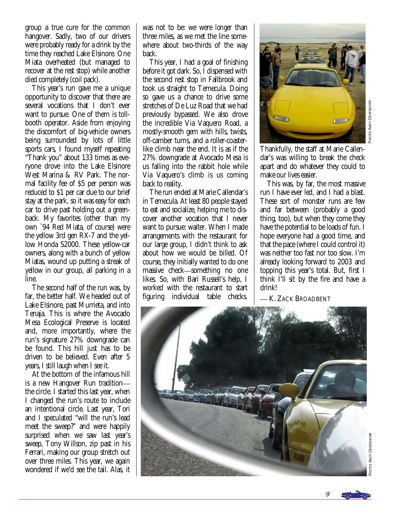group a true cure for the common hangover. Sadly, two of our drivers were probably ready for a drink by the time they reached Lake Elsinore. One Miata overheated (but managed to recover at the rest stop) while another died completely (coil pack).

 This year's run gave me a unique opportunity to discover that there are several vocations that I don't ever want to pursue. One of them is tollbooth operator. Aside from enjoying the discomfort of big-vehicle owners being surrounded by lots of little sports cars, I found myself repeating "Thank you" about 133 times as everyone drove into the Lake Elsinore West Marina & RV Park. The normal facility fee of \$5 per person was reduced to \$1 per car due to our brief stay at the park, so it was easy for each car to drive past holding out a greenback. My favorites (other than my own `94 Red Miata, of course) were the yellow 3rd gen RX-7 and the yellow Honda S2000. These yellow-car owners, along with a bunch of yellow Miatas, wound up putting a streak of yellow in our group, all parking in a line.

 The second half of the run was, by far, the better half. We headed out of Lake Elsinore, past Murrieta, and into Tenaja. This is where the Avocado Mesa Ecological Preserve is located and, more importantly, where the run's signature 27% downgrade can be found. This hill just has to be driven to be believed. Even after 5 years, I still laugh when I see it.

 At the bottom of the infamous hill is a new Hangover Run tradition the circle. I started this last year, when I changed the run's route to include an intentional circle. Last year, Tori and I speculated "will the run's lead meet the sweep?" and were happily surprised when we saw last year's sweep, Tony Willson, zip past in his Ferrari, making our group stretch out over three miles. This year, we again wondered if we'd see the tail. Alas, it was not to be: we were *longer* than three miles, as we met the line somewhere about two-thirds of the way back.

 This year, I had a goal of finishing before it got dark. So, I dispensed with the second rest stop in Fallbrook and took us straight to Temecula. Doing so gave us a chance to drive some stretches of De Luz Road that we had previously bypassed. We also drove the incredible Via Vaquero Road, a mostly-smooth gem with hills, twists, off-camber turns, and a roller-coasterlike climb near the end. It is as if the 27% downgrade at Avocado Mesa is us falling into the rabbit hole while Via Vaquero's climb is us coming back to reality.

 The run ended at Marie Callendar's in Temecula. At least 80 people stayed to eat and socialize, helping me to discover another vocation that I never want to pursue: waiter. When I made arrangements with the restaurant for our large group, I didn't think to ask about how we would be billed. Of course, they initially wanted to do one massive check—something no one likes. So, with Bari Russell's help, I worked with the restaurant to start figuring individual table checks.



Thankfully, the staff at Marie Callendar's was willing to break the check apart and do whatever they could to make our lives easier.

PHOTO

ANDY DEVENDO

⊭

 This was, by far, the most massive run I have ever led, and I had a blast. These sort of monster runs are few and far between (probably a good thing, too), but when they come they have the potential to be loads of fun. I hope everyone had a good time, and that the pace (where I could control it) was neither too fast nor too slow. I'm already looking forward to 2003 and topping this year's total. But, first I think I'll sit by the fire and have a drink!

-K. ZACK BROADBENT



╬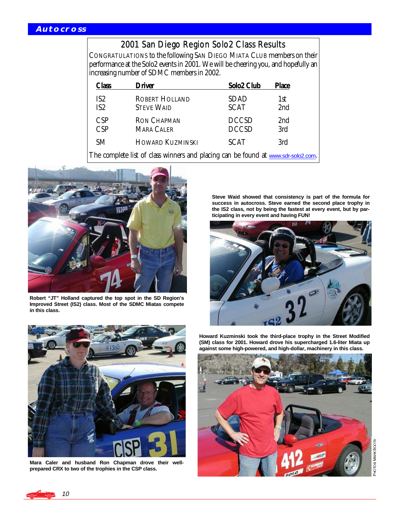# 2001 San Diego Region Solo2 Class Results

CONGRATULATIONS to the following SAN DIEGO MIATA CLUB members on their performance at the Solo2 events in 2001. We will be cheering you, and hopefully an increasing number of SDMC members in 2002.

| Class                                                                             | <b>Driver</b>                              | Solo2 Club                   | <b>Place</b>           |  |
|-----------------------------------------------------------------------------------|--------------------------------------------|------------------------------|------------------------|--|
| IS <sub>2</sub><br>IS <sub>2</sub>                                                | <b>ROBERT HOLLAND</b><br><b>STEVE WAID</b> | <b>SDAD</b><br><b>SCAT</b>   | 1st<br>2nd             |  |
| <b>CSP</b><br>CSP                                                                 | <b>RON CHAPMAN</b><br><b>MARA CALER</b>    | <b>DCCSD</b><br><b>DCCSD</b> | 2 <sub>nd</sub><br>3rd |  |
| SM.                                                                               | <b>HOWARD KUZMINSKI</b>                    | <b>SCAT</b>                  | 3rd                    |  |
| The complete list of class winners and placing can be found at www.sdr-solo2.com. |                                            |                              |                        |  |



**Robert "JT" Holland captured the top spot in the SD Region's Improved Street (IS2) class. Most of the SDMC Miatas compete in this class.** 



**Mara Caler and husband Ron Chapman drove their wellprepared CRX to two of the trophies in the CSP class.** 

**Steve Waid showed that consistency is part of the formula for success in autocross. Steve earned the second place trophy in the IS2 class, not by being the fastest at every event, but by participating in every event and having FUN!** 



**Howard Kuzminski took the third-place trophy in the Street Modified (SM) class for 2001. Howard drove his supercharged 1.6-liter Miata up against some high-powered, and high-dollar, machinery in this class.** 



PHOTOS MARK BOOTH

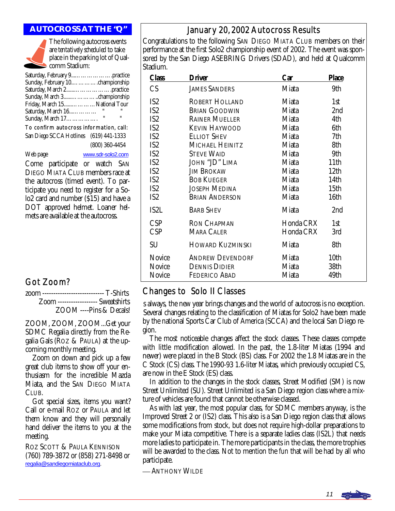

The following autocross events are *tentatively scheduled* to take place in the parking lot of Qualcomm Stadium:

| Friday, March 15National Tour |                |
|-------------------------------|----------------|
| Saturday, March 16            | п              |
|                               | $\blacksquare$ |
|                               |                |

To confirm autocross information, call: San Diego SCCA Hotlines (619) 441-1333 (800) 360-4454 Web page [www.sdr-solo2.com](http://www.sdr-solo2.com)

Come participate or watch SAN DIEGO MIATA CLUB members race at the autocross (timed event). To participate you need to register for a Solo2 card and number (\$15) and have a DOT approved helmet. Loaner helmets are available at the autocross.

# Got Zoom?

| zoom ---------------------------- T-Shirts |                         |
|--------------------------------------------|-------------------------|
| Zoom ------------------ Sweatshirts        |                         |
|                                            | ZOOM ----Pins & Decals! |

ZOOM, ZOOM, ZOOM...Get your SDMC Regalia directly from the Regalia Gals (ROZ & PAULA) at the upcoming monthly meeting.

 Zoom on down and pick up a few great club items to show off your enthusiasm for the incredible Mazda Miata, and the SAN DIEGO MIATA CLUB.

 Got special sizes, items you want? Call or e-mail ROZ or PAULA and let them know and they will personally hand deliver the items to you at the meeting.

ROZ SCOTT & PAULA KENNISON (760) 789-3872 or (858) 271-8498 or [regalia@sandiegomiataclub.org](mailto:regalia@sandiegomiataclub.org).

# **AUTOCROSS AT THE "Q"** January 20, 2002 Autocross Results

Congratulations to the following SAN DIEGO MIATA CLUB members on their performance at the first Solo2 championship event of 2002. The event was sponsored by the San Diego ASEBRING Drivers (SDAD), and held at Qualcomm Stadium.

| <b>Class</b>    | Driver                  | Car       | <b>Place</b>     |
|-----------------|-------------------------|-----------|------------------|
| CS              | <b>JAMES SANDERS</b>    | Miata     | 9th              |
| IS <sub>2</sub> | <b>ROBERT HOLLAND</b>   | Miata     | 1st              |
| IS <sub>2</sub> | <b>BRIAN GOODWIN</b>    | Miata     | 2 <sub>nd</sub>  |
| IS <sub>2</sub> | <b>RAINER MUELLER</b>   | Miata     | 4th              |
| IS <sub>2</sub> | <b>KEVIN HAYWOOD</b>    | Miata     | 6th              |
| IS <sub>2</sub> | <b>ELLIOT SHEV</b>      | Miata     | 7th              |
| IS <sub>2</sub> | MICHAEL HEINITZ         | Miata     | 8th              |
| IS <sub>2</sub> | <b>STEVE WAID</b>       | Miata     | 9th              |
| IS <sub>2</sub> | JOHN "JD" LIMA          | Miata     | 11th             |
| IS <sub>2</sub> | <b>JIM BROKAW</b>       | Miata     | 12 <sub>th</sub> |
| IS <sub>2</sub> | <b>BOB KUEGER</b>       | Miata     | 14th             |
| IS <sub>2</sub> | <b>JOSEPH MEDINA</b>    | Miata     | 15th             |
| IS <sub>2</sub> | <b>BRIAN ANDERSON</b>   | Miata     | 16th             |
| IS2L            | <b>BARB SHEV</b>        | Miata     | 2 <sub>nd</sub>  |
| CSP             | <b>RON CHAPMAN</b>      | Honda CRX | 1st              |
| CSP             | <b>MARA CALER</b>       | Honda CRX | 3rd              |
| SU              | <b>HOWARD KUZMINSKI</b> | Miata     | 8th              |
| <b>Novice</b>   | <b>ANDREW DEVENDORF</b> | Miata     | 10th             |
| <b>Novice</b>   | <b>DENNIS DIDIER</b>    | Miata     | 38th             |
| <b>Novice</b>   | <b>FEDERICO ABAD</b>    | Miata     | 49th             |

# Changes to Solo II Classes

Several changes relating to the classification of Miatas for Solo2 have been made s always, the new year brings changes and the world of autocross is no exception. by the national Sports Car Club of America (SCCA) and the local San Diego region.

 The most noticeable changes affect the stock classes. These classes compete with little modification allowed. In the past, the 1.8-liter Miatas (1994 and newer) were placed in the B Stock (BS) class. For 2002 the 1.8 Miatas are in the C Stock (CS) class. The 1990-93 1.6-liter Miatas, which previously occupied CS, are now in the E Stock (ES) class.

 In addition to the changes in the stock classes, Street Modified (SM) is now Street Unlimited (SU). Street Unlimited is a San Diego region class where a mixture of vehicles are found that cannot be otherwise classed.

 As with last year, the most popular class, for SDMC members anyway, is the Improved Street 2 or (IS2) class. This also is a San Diego region class that allows some modifications from stock, but does not require high-dollar preparations to make your Miata competitive. There is a separate ladies class (IS2L) that needs more ladies to participate in. The more participants in the class, the more trophies will be awarded to the class. Not to mention the *fun* that will be had by all who participate.

ANTHONY WILDE

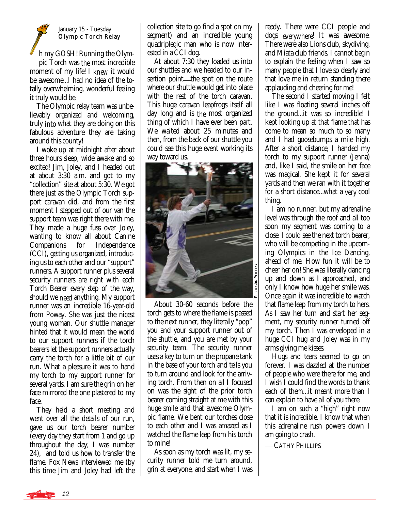#### January 15 - Tuesday Olympic Torch Relay

h my GOSH! Running the Olympic Torch was *the* most incredible moment of my life! I *knew* it would be awesome...I had no idea of the totally overwhelming, wonderful feeling it truly would be.

 The Olympic relay team was unbelievably organized and welcoming, truly *into* what they are doing on this fabulous adventure they are taking around this county!

 I woke up at midnight after about three hours sleep, wide awake and so excited! Jim, Joley, and I headed out at about 3:30 a.m. and got to my "collection" site at about 5:30. We got there just as the Olympic Torch support caravan did, and from the first moment I stepped out of our van the support team was right there with me. They made a huge fuss over Joley, wanting to know all about Canine Companions for Independence (CCI), getting us organized, introducing us to each other and our "support" runners. A support runner plus several security runners are right with each Torch Bearer every step of the way, should we *need* anything. My support runner was an incredible 16-year-old from Poway. She was just the nicest young woman. Our shuttle manager hinted that it would mean the world to our support runners if the torch bearers let the support runners actually carry the torch for a little bit of our run. What a pleasure it was to hand my torch to my support runner for several yards. I am sure the grin on her face mirrored the one plastered to my face.

 They held a short meeting and went over all the details of our run, gave us our torch bearer number (every day they start from 1 and go up throughout the day; I was number 24), and told us how to transfer the flame. Fox News interviewed me (by this time Jim and Joley had left the collection site to go find a spot on my segment) and an incredible young quadriplegic man who is now interested in a CCI dog.

 At about 7:30 they loaded us into our shuttles and we headed to our insertion point—the spot on the route where our shuttle would get into place with the rest of the torch caravan. This huge caravan leapfrogs itself all day long and is *the* most organized thing of which I have ever been part. We waited about 25 minutes and then, from the back of our shuttle you could see this huge event working its way toward us.



 About 30-60 seconds before the torch gets to where the flame is passed to the next runner, they literally "pop" you and your support runner out of the shuttle, and you are met by your security team. The security runner uses a key to turn on the propane tank in the base of your torch and tells you to turn around and look for the arriving torch. From then on all I focused on was the sight of the prior torch bearer coming straight at me with this huge smile and that awesome Olympic flame. We bent our torches close to each other and I was amazed as I watched the flame leap from his torch to mine!

 As soon as my torch was lit, my security runner told me turn around, grin at everyone, and start when I was ready. There were CCI people and dogs *everywhere*! It was awesome. There were also Lions club, skydiving, and Miata club friends. I cannot begin to explain the feeling when I saw so many people that I love so dearly and that love me in return standing there applauding and cheering for me!

 The second I started moving I felt like I was floating several inches off the ground...it was so incredible! I kept looking up at that flame that has come to mean so much to so many and I had goosebumps a mile high. After a short distance, I handed my torch to my support runner (Jenna) and, like I said, the smile on her face was magical. She kept it for several yards and then we ran with it together for a short distance...what a *very* cool thing.

 I am no runner, but my adrenaline level was through the roof and all too soon my segment was coming to a close. I could see the next torch bearer, who will be competing in the upcoming Olympics in the Ice Dancing, ahead of me. How fun it will be to cheer her on! She was literally dancing up and down as I approached, and only I know how huge her smile was. Once again it was incredible to watch that flame leap from my torch to hers. As I saw her turn and start her segment, my security runner turned off my torch. Then I was enveloped in a huge CCI hug and Joley was in my arms giving me kisses.

 Hugs and tears seemed to go on forever. I was dazzled at the number of people who were there for me, and I wish I could find the words to thank each of them...it meant more than I can explain to have all of you there.

 I am on such a "high" right now that it is incredible. I know that when this adrenaline rush powers down I am going to crash.

**CATHY PHILLIPS**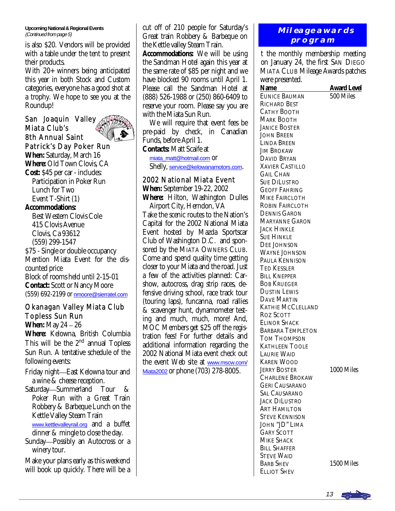**Upcoming National & Regional Events**  (Continued from page 5)

is also \$20. Vendors will be provided with a table under the tent to present their products.

With 20+ winners being anticipated this year in both Stock and Custom categories, everyone has a good shot at a trophy. We hope to see you at the Roundup!

San Joaquin Valley Miata Club's 8th Annual Saint



Patrick's Day Poker Run **When:** Saturday, March 16 **Where:** Old Town Clovis, CA **Cost:** \$45 per car - includes: Participation in Poker Run Lunch for Two

 Event T-Shirt (1) **Accommodations:** 

 Best Western Clovis Cole 415 Clovis Avenue Clovis, Ca 93612 (559) 299-1547 \$75 - Single or double occupancy Mention Miata Event for the discounted price Block of rooms held until 2-15-01 **Contact:** Scott or Nancy Moore (559) 692-2199 or [nmoore@sierratel.com](mailto:nmoore@sierratel.com)

#### Okanagan Valley Miata Club Topless Sun Run

**When:** May 24 – 26 **Where:** Kelowna, British Columbia This will be the  $2<sup>nd</sup>$  annual Topless Sun Run. A tentative schedule of the following events:

- Friday night-East Kelowna tour and a wine & cheese reception.
- Saturday-Summerland Tour & Poker Run with a Great Train Robbery & Barbeque Lunch on the Kettle Valley Steam Train [www.kettlevalleyrail.org](http://www.kettlevalleyrail.org) and a buffet dinner & mingle to close the day.
- Sunday—Possibly an Autocross or a winery tour.

Make your plans early as this weekend will book up quickly. There will be a cut off of 210 people for Saturday's Great train Robbery & Barbeque on the Kettle valley Steam Train. **Accommodations:** We will be using the Sandman Hotel again this year at the same rate of \$85 per night and we have blocked 90 rooms until April 1. Please call the Sandman Hotel at (888) 526-1988 or (250) 860-6409 to reserve your room. Please say you are with the Miata Sun Run.

 We will require that event fees be pre-paid by check, in Canadian Funds, before April 1. **Contacts:** Matt Scaife at

[miata\\_matt@hotmail.com](mailto:miata_matt@hotmail.com) OT Shelly, [service@kelowanamotors.com](mailto:service@kelowanamotors.com).

#### 2002 National Miata Event

**When:** September 19-22, 2002 **Where:** Hilton, Washington Dulles Airport City, Herndon, VA Take the scenic routes to the Nation's Capital for the 2002 National Miata Event hosted by Mazda Sportscar Club of Washington D.C. and sponsored by the MIATA OWNERS CLUB. Come and spend quality time getting closer to your Miata and the road. Just a few of the activities planned: Carshow, autocross, drag strip races, defensive driving school, race track tour (touring laps), funcanna, road rallies & scavenger hunt, dynamometer testing and much, much, more! And, MOC Members get \$25 off the registration fees! For further details and additional information regarding the 2002 National Miata event check out the event Web site at [www.mscw.com/](http://www.mscw.com/Miata2002) [Miata2002](http://www.mscw.com/Miata2002) or phone (703) 278-8005.

## **Mileage awards program**

on January 24, the first SAN DIEGO t the monthly membership meeting MIATA CLUB Mileage Awards patches were presented.

| were presence.           |                    |
|--------------------------|--------------------|
| <u>Name</u>              | <u>Award Level</u> |
| <b>EUNICE BAUMAN</b>     | 500 Miles          |
| <b>RICHARD BEST</b>      |                    |
| <b>CATHY BOOTH</b>       |                    |
| <b>MARK BOOTH</b>        |                    |
| <b>JANICE BOSTER</b>     |                    |
| <b>JOHN BREEN</b>        |                    |
| <b>LINDA BREEN</b>       |                    |
| <b>JIM BROKAW</b>        |                    |
| <b>DAVID BRYAN</b>       |                    |
| <b>XAVIER CASTILLO</b>   |                    |
| <b>GAIL CHAN</b>         |                    |
| <b>SUE DILUSTRO</b>      |                    |
| <b>GEOFF FAHRING</b>     |                    |
| <b>MIKE FAIRCLOTH</b>    |                    |
| <b>ROBIN FAIRCLOTH</b>   |                    |
| <b>DENNIS GARON</b>      |                    |
| <b>MARYANNE GARON</b>    |                    |
| JACK HINKLE              |                    |
| <b>SUE HINKLE</b>        |                    |
| <b>DEE JOHNSON</b>       |                    |
| <b>WAYNE JOHNSON</b>     |                    |
| PAULA KENNISON           |                    |
| <b>TED KESSLER</b>       |                    |
|                          |                    |
| <b>BILL KNEPPER</b>      |                    |
| <b>BOB KRUEGER</b>       |                    |
| <b>DUSTIN LEWIS</b>      |                    |
| <b>DAVE MARTIN</b>       |                    |
| <b>KATHIE MCCLELLAND</b> |                    |
| <b>ROZ SCOTT</b>         |                    |
| <b>ELINOR SHACK</b>      |                    |
| <b>BARBARA TEMPLETON</b> |                    |
| <b>TOM THOMPSON</b>      |                    |
| <b>KATHLEEN TOOLE</b>    |                    |
| <b>LAURIE WAID</b>       |                    |
| <b>KAREN WOOD</b>        |                    |
| <b>JERRY BOSTER</b>      | 1000 Miles         |
| <b>CHARLENE BROKAW</b>   |                    |
| <b>GERI CAUSARANO</b>    |                    |
| <b>SAL CAUSARANO</b>     |                    |
| <b>JACK DILUSTRO</b>     |                    |
| <b>ART HAMILTON</b>      |                    |
| <b>STEVE KENNISON</b>    |                    |
| JOHN "JD" LIMA           |                    |
| <b>GARY SCOTT</b>        |                    |
| <b>MIKE SHACK</b>        |                    |
| <b>BILL SHAFFER</b>      |                    |
| <b>STEVE WAID</b>        |                    |
| <b>BARB SHEV</b>         | 1500 Miles         |
| <b>ELLIOT SHEV</b>       |                    |
|                          |                    |

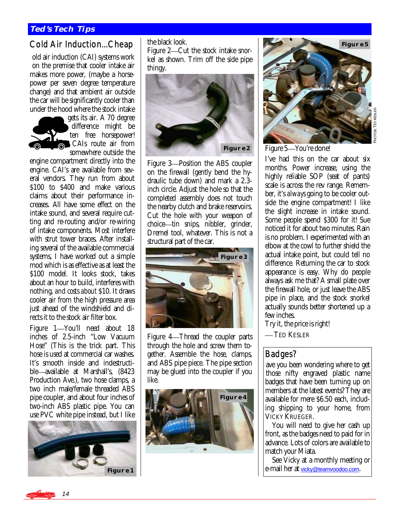#### **TED'S TECH TIPS**

# Cold Air Induction...Cheap

old air induction (CAI) systems work on the premise that cooler intake air makes more power, (maybe a horsepower per seven degree temperature change) and that ambient air outside the car will be significantly cooler than under the hood where the stock intake



gets its air. A 70 degree difference might be ten free horsepower! CAIs route air from somewhere outside the

engine compartment directly into the engine. CAI's are available from several vendors. They run from about \$100 to \$400 and make various claims about their performance increases. All have some effect on the intake sound, and several require cutting and re-routing and/or re-wiring of intake components. Most interfere with strut tower braces. After installing several of the available commercial systems, I have worked out a simple mod which is as effective as at least the \$100 model. It looks stock, takes about an hour to build, interferes with nothing, *and costs about* \$10. It draws cooler air from the high pressure area just ahead of the windshield and directs it to the stock air filter box.

Figure 1—You'll need about 18 inches of 2.5-inch "Low Vacuum Hose" (This is the trick part. This hose is used at commercial car washes. It's smooth inside and indestructible—available at Marshall's, (8423) Production Ave.), two hose clamps, a two inch male/female threaded ABS pipe coupler, and about four inches of two-inch ABS plastic pipe. You can use PVC white pipe instead, but I like



the black look.

Figure 2—Cut the stock intake snorkel as shown. Trim off the side pipe thingy.



Figure 3-Position the ABS coupler on the firewall (gently bend the hydraulic tube down) and mark a 2.3 inch circle. Adjust the hole so that the completed assembly does not touch the nearby clutch and brake reservoirs. Cut the hole with your weapon of choice—tin snips, nibbler, grinder, Dremel tool, whatever. This is not a structural part of the car.



Figure 4—Thread the coupler parts through the hole and screw them together. Assemble the hose, clamps, and ABS pipe piece. The pipe section may be glued into the coupler if you like.





요<br>이 d. TED KESLER

Figure 5-You're done!

I've had this on the car about six months. Power increase, using the highly reliable SOP (seat of pants) scale is across the rev range. Remember, it's *always* going to be cooler outside the engine compartment! I like the slight increase in intake sound. Some people spend \$300 for it! Sue noticed it for about two minutes. Rain is no problem. I experimented with an elbow at the cowl to further shield the actual intake point, but could tell no difference. Returning the car to stock appearance is easy. Why do people always ask me that? A small plate over the firewall hole, or just leave the ABS pipe in place, and the stock snorkel actually sounds better shortened up a few inches.

Try it, the price is right!

-TED KESLER

## Badges?

those nifty engraved plastic name ave you been wondering where to get badges that have been turning up on members at the latest events? They are available for mere \$6.50 each, including shipping to your home, from VICKY KRUEGER.

 You will need to give her cash up front, as the badges need to paid for in advance. Lots of colors are available to match your Miata.

 See Vicky at a monthly meeting or e-mail her at [vicky@teamvoodoo.com](mailto:vicky@teamvoodoo.com).

14